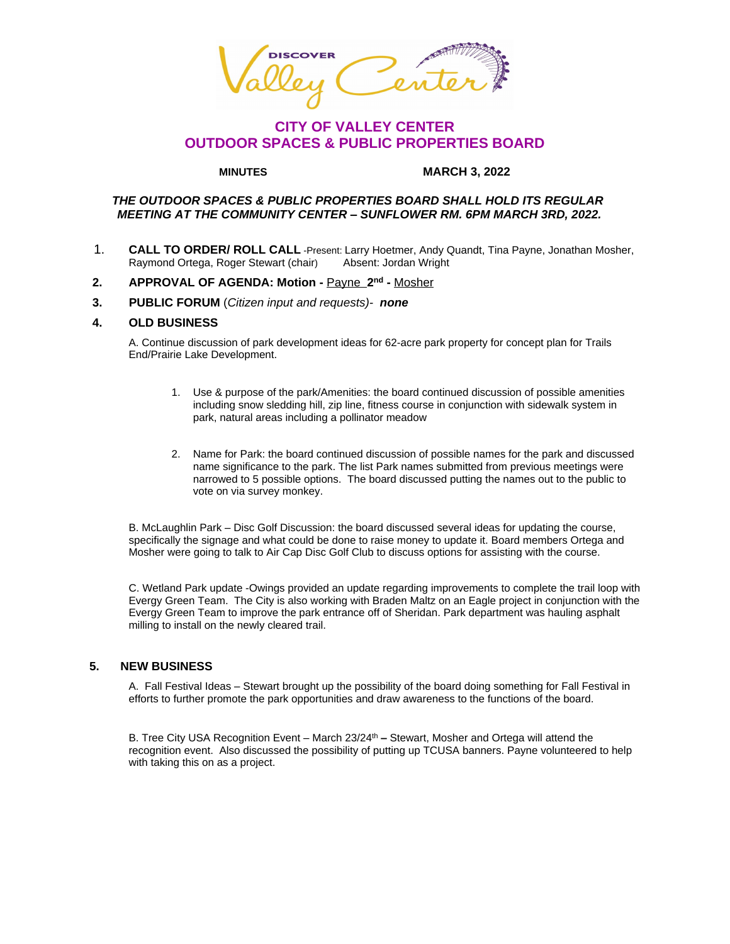**SCOVER** 

# **CITY OF VALLEY CENTER OUTDOOR SPACES & PUBLIC PROPERTIES BOARD**

#### **MINUTES MARCH 3, 2022**

## *THE OUTDOOR SPACES & PUBLIC PROPERTIES BOARD SHALL HOLD ITS REGULAR MEETING AT THE COMMUNITY CENTER – SUNFLOWER RM. 6PM MARCH 3RD, 2022.*

1. **CALL TO ORDER/ ROLL CALL** -Present: Larry Hoetmer, Andy Quandt, Tina Payne, Jonathan Mosher, Raymond Ortega, Roger Stewart (chair)

#### **2. APPROVAL OF AGENDA: Motion -** Payne **2 nd -** Mosher

 **3. PUBLIC FORUM** (*Citizen input and requests)- none*

## **4. OLD BUSINESS**

A. Continue discussion of park development ideas for 62-acre park property for concept plan for Trails End/Prairie Lake Development.

- 1. Use & purpose of the park/Amenities: the board continued discussion of possible amenities including snow sledding hill, zip line, fitness course in conjunction with sidewalk system in park, natural areas including a pollinator meadow
- 2. Name for Park: the board continued discussion of possible names for the park and discussed name significance to the park. The list Park names submitted from previous meetings were narrowed to 5 possible options. The board discussed putting the names out to the public to vote on via survey monkey.

B. McLaughlin Park – Disc Golf Discussion: the board discussed several ideas for updating the course, specifically the signage and what could be done to raise money to update it. Board members Ortega and Mosher were going to talk to Air Cap Disc Golf Club to discuss options for assisting with the course.

C. Wetland Park update -Owings provided an update regarding improvements to complete the trail loop with Evergy Green Team. The City is also working with Braden Maltz on an Eagle project in conjunction with the Evergy Green Team to improve the park entrance off of Sheridan. Park department was hauling asphalt milling to install on the newly cleared trail.

#### **5. NEW BUSINESS**

A. Fall Festival Ideas – Stewart brought up the possibility of the board doing something for Fall Festival in efforts to further promote the park opportunities and draw awareness to the functions of the board.

B. Tree City USA Recognition Event – March 23/24th **–** Stewart, Mosher and Ortega will attend the recognition event. Also discussed the possibility of putting up TCUSA banners. Payne volunteered to help with taking this on as a project.